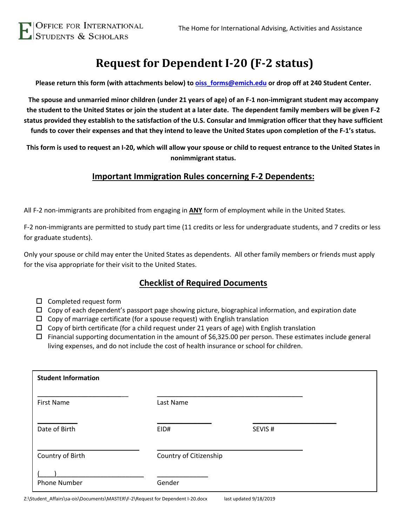# **Request for Dependent I-20 (F-2 status)**

**Please return this form (with attachments below) to [oiss\\_forms@emich.edu](mailto:oiss_forms@emich.edu) or drop off at 240 Student Center.**

**The spouse and unmarried minor children (under 21 years of age) of an F-1 non-immigrant student may accompany the student to the United States or join the student at a later date. The dependent family members will be given F-2 status provided they establish to the satisfaction of the U.S. Consular and Immigration officer that they have sufficient funds to cover their expenses and that they intend to leave the United States upon completion of the F-1's status.**

**This form is used to request an I-20, which will allow your spouse or child to request entrance to the United States in nonimmigrant status.** 

### **Important Immigration Rules concerning F-2 Dependents:**

All F-2 non-immigrants are prohibited from engaging in **ANY** form of employment while in the United States.

F-2 non-immigrants are permitted to study part time (11 credits or less for undergraduate students, and 7 credits or less for graduate students).

Only your spouse or child may enter the United States as dependents. All other family members or friends must apply for the visa appropriate for their visit to the United States.

## **Checklist of Required Documents**

- $\square$  Completed request form
- $\Box$  Copy of each dependent's passport page showing picture, biographical information, and expiration date
- $\Box$  Copy of marriage certificate (for a spouse request) with English translation
- $\Box$  Copy of birth certificate (for a child request under 21 years of age) with English translation
- $\Box$  Financial supporting documentation in the amount of \$6,325.00 per person. These estimates include general living expenses, and do not include the cost of health insurance or school for children.

| <b>Student Information</b> |                        |        |
|----------------------------|------------------------|--------|
| <b>First Name</b>          | Last Name              |        |
| Date of Birth              | EID#                   | SEVIS# |
| Country of Birth           | Country of Citizenship |        |
| <b>Phone Number</b>        | Gender                 |        |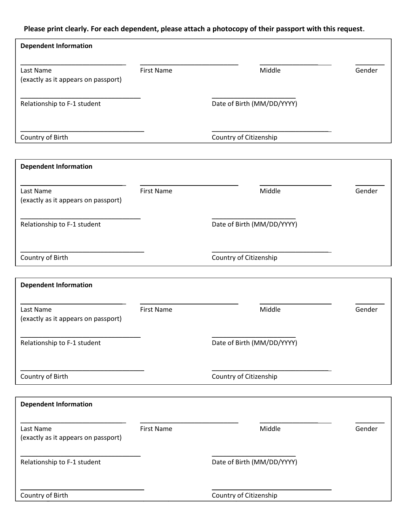## **Please print clearly. For each dependent, please attach a photocopy of their passport with this request.**

| <b>Dependent Information</b>        |                   |                            |        |
|-------------------------------------|-------------------|----------------------------|--------|
|                                     |                   |                            |        |
| Last Name                           | <b>First Name</b> | Middle                     | Gender |
| (exactly as it appears on passport) |                   |                            |        |
|                                     |                   | Date of Birth (MM/DD/YYYY) |        |
| Relationship to F-1 student         |                   |                            |        |
|                                     |                   |                            |        |
| Country of Birth                    |                   | Country of Citizenship     |        |
|                                     |                   |                            |        |
| <b>Dependent Information</b>        |                   |                            |        |
| Last Name                           | <b>First Name</b> | Middle                     | Gender |
| (exactly as it appears on passport) |                   |                            |        |
|                                     |                   |                            |        |
| Relationship to F-1 student         |                   | Date of Birth (MM/DD/YYYY) |        |
|                                     |                   |                            |        |
| Country of Birth                    |                   | Country of Citizenship     |        |
|                                     |                   |                            |        |
| <b>Dependent Information</b>        |                   |                            |        |
|                                     |                   |                            |        |
| Last Name                           | <b>First Name</b> | Middle                     | Gender |
| (exactly as it appears on passport) |                   |                            |        |
|                                     |                   |                            |        |
| Relationship to F-1 student         |                   | Date of Birth (MM/DD/YYYY) |        |
|                                     |                   |                            |        |
| Country of Birth                    |                   | Country of Citizenship     |        |
|                                     |                   |                            |        |
| <b>Dependent Information</b>        |                   |                            |        |
|                                     |                   |                            |        |
| Last Name                           | <b>First Name</b> | Middle                     | Gender |
| (exactly as it appears on passport) |                   |                            |        |
| Relationship to F-1 student         |                   | Date of Birth (MM/DD/YYYY) |        |
|                                     |                   |                            |        |
|                                     |                   |                            |        |
| Country of Birth                    |                   | Country of Citizenship     |        |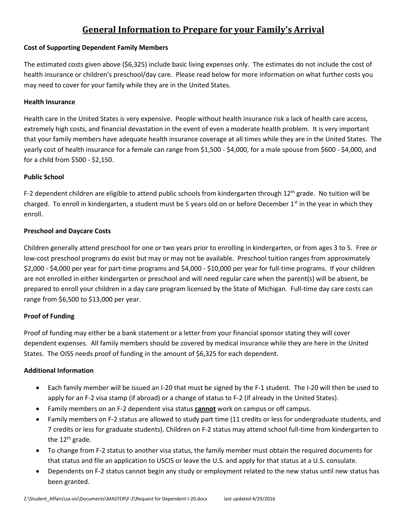# **General Information to Prepare for your Family's Arrival**

#### **Cost of Supporting Dependent Family Members**

The estimated costs given above (\$6,325) include basic living expenses only. The estimates do not include the cost of health insurance or children's preschool/day care. Please read below for more information on what further costs you may need to cover for your family while they are in the United States.

#### **Health Insurance**

Health care in the United States is very expensive. People without health insurance risk a lack of health care access, extremely high costs, and financial devastation in the event of even a moderate health problem. It is very important that your family members have adequate health insurance coverage at all times while they are in the United States. The yearly cost of health insurance for a female can range from \$1,500 - \$4,000, for a male spouse from \$600 - \$4,000, and for a child from \$500 - \$2,150.

#### **Public School**

F-2 dependent children are eligible to attend public schools from kindergarten through 12<sup>th</sup> grade. No tuition will be charged. To enroll in kindergarten, a student must be 5 years old on or before December  $1<sup>st</sup>$  in the year in which they enroll.

#### **Preschool and Daycare Costs**

Children generally attend preschool for one or two years prior to enrolling in kindergarten, or from ages 3 to 5. Free or low-cost preschool programs do exist but may or may not be available. Preschool tuition ranges from approximately \$2,000 - \$4,000 per year for part-time programs and \$4,000 - \$10,000 per year for full-time programs. If your children are not enrolled in either kindergarten or preschool and will need regular care when the parent(s) will be absent, be prepared to enroll your children in a day care program licensed by the State of Michigan. Full-time day care costs can range from \$6,500 to \$13,000 per year.

#### **Proof of Funding**

Proof of funding may either be a bank statement or a letter from your financial sponsor stating they will cover dependent expenses. All family members should be covered by medical insurance while they are here in the United States. The OISS needs proof of funding in the amount of \$6,325 for each dependent.

#### **Additional Information**

- Each family member will be issued an I-20 that must be signed by the F-1 student. The I-20 will then be used to apply for an F-2 visa stamp (if abroad) or a change of status to F-2 (if already in the United States).
- Family members on an F-2 dependent visa status **cannot** work on campus or off campus.
- Family members on F-2 status are allowed to study part time (11 credits or less for undergraduate students, and 7 credits or less for graduate students). Children on F-2 status may attend school full-time from kindergarten to the 12<sup>th</sup> grade.
- To change from F-2 status to another visa status, the family member must obtain the required documents for that status and file an application to USCIS or leave the U.S. and apply for that status at a U.S. consulate.
- Dependents on F-2 status cannot begin any study or employment related to the new status until new status has been granted.